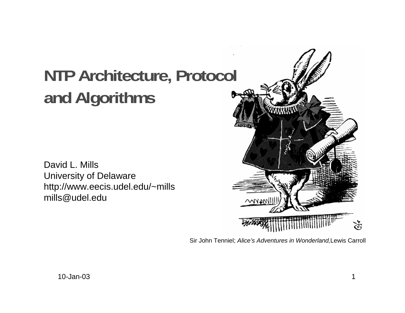# **NTP Architecture, Protocol and Algorithms**

David L. MillsUniversity of Delaware http://www.eecis.udel.edu/~mills mills@udel.edu



Sir John Tenniel; Alice's Adventures in Wonderland,Lewis Carroll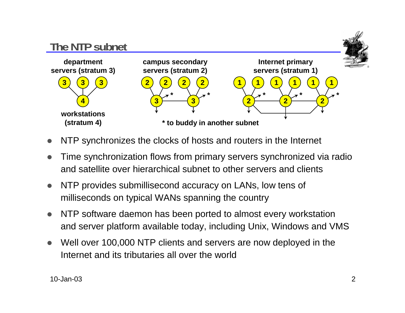

- $\bullet$ NTP synchronizes the clocks of hosts and routers in the Internet
- $\bullet$  Time synchronization flows from primary servers synchronized via radio and satellite over hierarchical subnet to other servers and clients
- $\bullet$  NTP provides submillisecond accuracy on LANs, low tens of milliseconds on typical WANs spanning the country
- $\bullet$  NTP software daemon has been ported to almost every workstation and server platform available today, including Unix, Windows and VMS
- $\bullet$  Well over 100,000 NTP clients and servers are now deployed in the Internet and its tributaries all over the world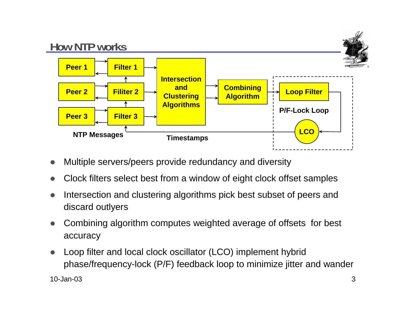

- $\bullet$ Multiple servers/peers provide redundancy and diversity
- $\bullet$ Clock filters select best from a window of eight clock offset samples
- $\bullet$  Intersection and clustering algorithms pick best subset of peers and discard outlyers
- $\bullet$  Combining algorithm computes weighted average of offsets for best accuracy
- $\bullet$  Loop filter and local clock oscillator (LCO) implement hybrid phase/frequency-lock (P/F) feedback loop to minimize jitter and wander

10-Jan-03 $3 \overline{\phantom{a}}$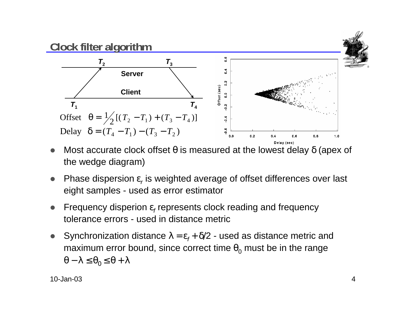

- $\bullet$ Most accurate clock offset  $θ$  is measured at the lowest delay  $δ$  (apex of the wedge diagram)
- $\bullet$ • Phase dispersion  $\varepsilon_r$  is weighted average of offset differences over last eight samples - used as error estimator
- $\bullet$ Frequency disperion  $\varepsilon_f$  represents clock reading and frequency tolerance errors - used in distance metric
- $\bullet$ Synchronization distance  $\lambda = \varepsilon_f + \delta/2$  - used as distance metric and maximum error bound, since correct time  $\theta_0$  must be in the range  $\theta - \lambda \leq \theta_0 \leq \theta + \lambda$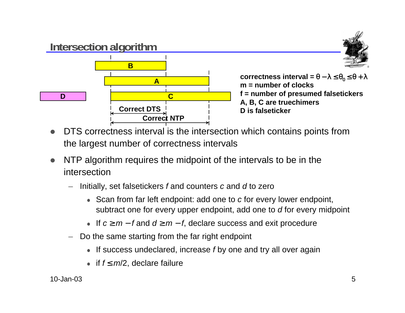

 $\textsf{correctness}$  interval = θ − λ ≤ θ $_0$  ≤ θ + λ **m = number of clocksf = number of presumed falsetickers A, B, C are truechimers D is falseticker**

- $\bullet$  DTS correctness interval is the intersection which contains points from the largest number of correctness intervals
- $\bullet$  NTP algorithm requires the midpoint of the intervals to be in the intersection
	- Initially, set falsetickers f and counters <sup>c</sup> and d to zero
		- Scan from far left endpoint: add one to c for every lower endpoint, subtract one for every upper endpoint, add one to d for every midpoint
		- If  $c \ge m f$  and  $d \ge m f$ , declare success and exit procedure
	- Do the same starting from the far right endpoint
		- If success undeclared, increase  $f$  by one and try all over again
		- if  $f \leq m/2$ , declare failure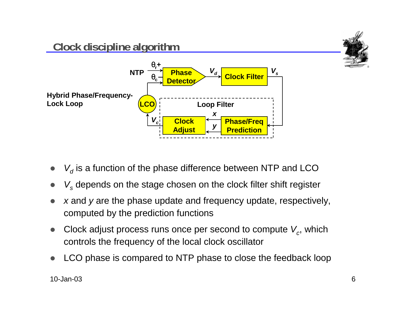

- $\bullet$  $\bullet\quad$   $V_d$  is a function of the phase difference between NTP and LCO
- $\bullet$  $\bullet\quad$   $V_s$  depends on the stage chosen on the clock filter shift register
- $\bullet$  <sup>x</sup> and y are the phase update and frequency update, respectively, computed by the prediction functions
- $\bullet$ Clock adjust process runs once per second to compute  $V_c$ , which controls the frequency of the local clock oscillator
- $\bullet$ LCO phase is compared to NTP phase to close the feedback loop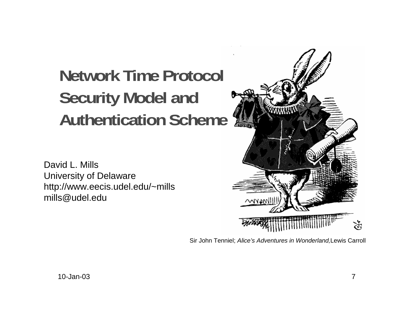# **Network Time Protocol Security Model and Authentication Scheme**

David L. MillsUniversity of Delaware http://www.eecis.udel.edu/~mills mills@udel.edu



Sir John Tenniel; Alice's Adventures in Wonderland,Lewis Carroll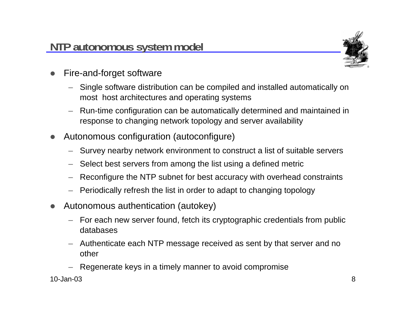

- $\bullet$  Fire-and-forget software
	- Single software distribution can be compiled and installed automatically on most host architectures and operating systems
	- Run-time configuration can be automatically determined and maintained in response to changing network topology and server availability
- $\bullet$  Autonomous configuration (autoconfigure)
	- Survey nearby network environment to construct a list of suitable servers
	- Select best servers from among the list using a defined metric
	- Reconfigure the NTP subnet for best accuracy with overhead constraints
	- Periodically refresh the list in order to adapt to changing topology
- $\bullet$  Autonomous authentication (autokey)
	- For each new server found, fetch its cryptographic credentials from public databases
	- Authenticate each NTP message received as sent by that server and no other
	- Regenerate keys in a timely manner to avoid compromise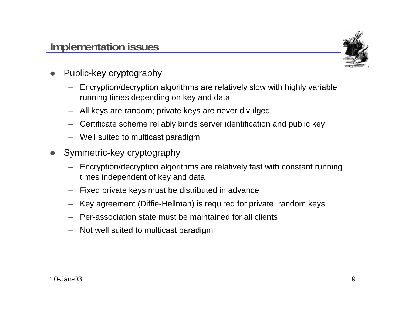

- $\bullet$  Public-key cryptography
	- Encryption/decryption algorithms are relatively slow with highly variable running times depending on key and data
	- All keys are random; private keys are never divulged
	- Certificate scheme reliably binds server identification and public key
	- Well suited to multicast paradigm
- $\bullet$  Symmetric-key cryptography
	- Encryption/decryption algorithms are relatively fast with constant running times independent of key and data
	- Fixed private keys must be distributed in advance
	- Key agreement (Diffie-Hellman) is required for private random keys
	- Per-association state must be maintained for all clients
	- Not well suited to multicast paradigm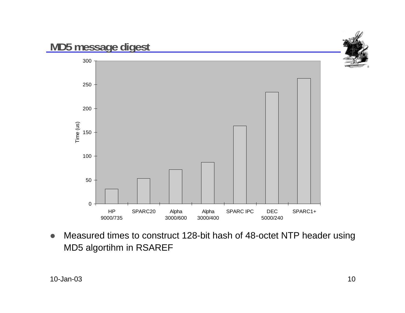

 $\bullet$  Measured times to construct 128-bit hash of 48-octet NTP header using MD5 algortihm in RSAREF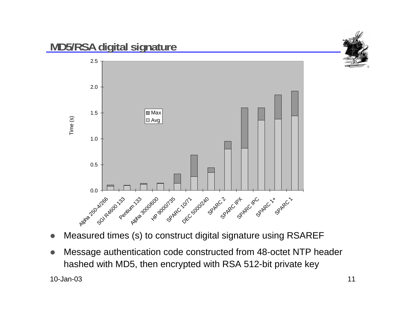

- $\bullet$ Measured times (s) to construct digital signature using RSAREF
- $\bullet$  Message authentication code constructed from 48-octet NTP header hashed with MD5, then encrypted with RSA 512-bit private key

10-Jan-03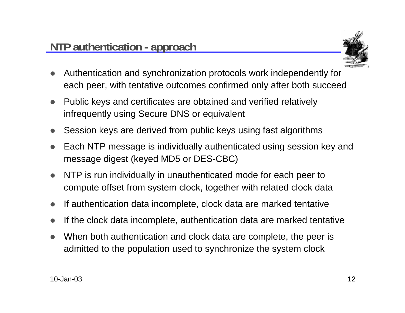

- $\bullet$  Authentication and synchronization protocols work independently for each peer, with tentative outcomes confirmed only after both succeed
- $\bullet$  Public keys and certificates are obtained and verified relatively infrequently using Secure DNS or equivalent
- $\bullet$ Session keys are derived from public keys using fast algorithms
- $\bullet$  Each NTP message is individually authenticated using session key and message digest (keyed MD5 or DES-CBC)
- $\bullet$  NTP is run individually in unauthenticated mode for each peer to compute offset from system clock, together with related clock data
- $\bullet$ If authentication data incomplete, clock data are marked tentative
- $\bullet$ If the clock data incomplete, authentication data are marked tentative
- $\bullet$  When both authentication and clock data are complete, the peer is admitted to the population used to synchronize the system clock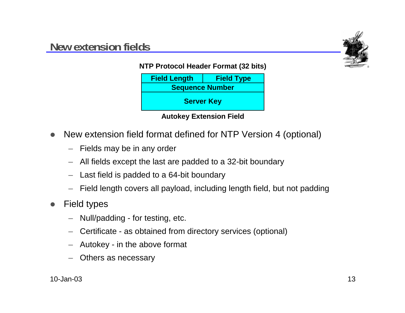

**NTP Protocol Header Format (32 bits)**





- $\bullet$  New extension field format defined for NTP Version 4 (optional)
	- Fields may be in any order
	- All fields except the last are padded to a 32-bit boundary
	- Last field is padded to a 64-bit boundary
	- –Field length covers all payload, including length field, but not padding
- $\bullet$  Field types
	- Null/padding for testing, etc.
	- Certificate as obtained from directory services (optional)
	- Autokey in the above format
	- Others as necessary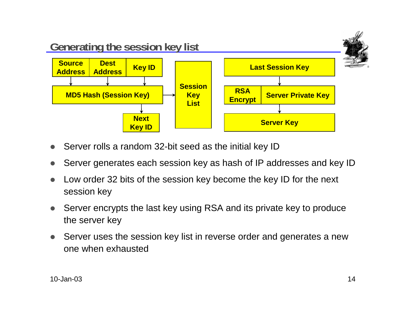

- $\bullet$ Server rolls a random 32-bit seed as the initial key ID
- $\bullet$ Server generates each session key as hash of IP addresses and key ID
- $\bullet$  Low order 32 bits of the session key become the key ID for the next session key
- $\bullet$  Server encrypts the last key using RSA and its private key to produce the server key
- $\bullet$  Server uses the session key list in reverse order and generates a new one when exhausted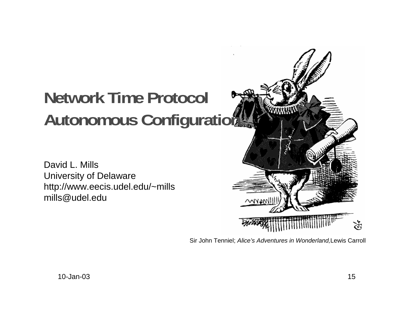# **Network Time Protocol Autonomous Configuration**

David L. MillsUniversity of Delaware http://www.eecis.udel.edu/~mills mills@udel.edu

WWW উ

Sir John Tenniel; Alice's Adventures in Wonderland,Lewis Carroll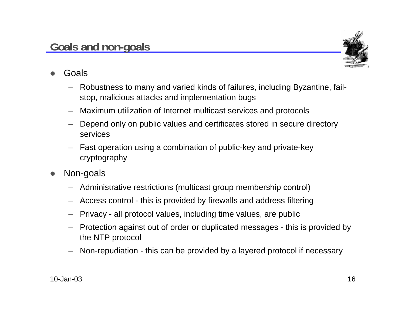

- $\bullet$  Goals
	- Robustness to many and varied kinds of failures, including Byzantine, failstop, malicious attacks and implementation bugs
	- Maximum utilization of Internet multicast services and protocols
	- Depend only on public values and certificates stored in secure directory services
	- – Fast operation using a combination of public-key and private-key cryptography
- $\bullet$  Non-goals
	- Administrative restrictions (multicast group membership control)
	- Access control this is provided by firewalls and address filtering
	- Privacy all protocol values, including time values, are public
	- Protection against out of order or duplicated messages this is provided by the NTP protocol
	- Non-repudiation this can be provided by a layered protocol if necessary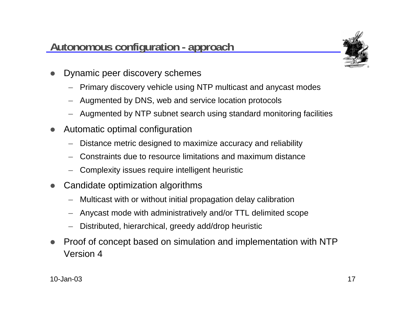#### **Autonomous configuration - approach**



- $\bullet$  Dynamic peer discovery schemes
	- Primary discovery vehicle using NTP multicast and anycast modes
	- Augmented by DNS, web and service location protocols
	- Augmented by NTP subnet search using standard monitoring facilities
- $\bullet$  Automatic optimal configuration
	- Distance metric designed to maximize accuracy and reliability
	- Constraints due to resource limitations and maximum distance
	- Complexity issues require intelligent heuristic
- $\bullet$  Candidate optimization algorithms
	- Multicast with or without initial propagation delay calibration
	- Anycast mode with administratively and/or TTL delimited scope
	- Distributed, hierarchical, greedy add/drop heuristic
- $\bullet$  Proof of concept based on simulation and implementation with NTP Version 4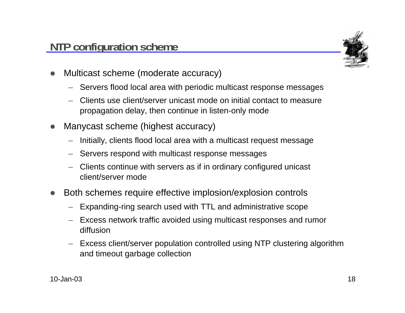

- $\bullet$  Multicast scheme (moderate accuracy)
	- Servers flood local area with periodic multicast response messages
	- Clients use client/server unicast mode on initial contact to measure propagation delay, then continue in listen-only mode
- $\bullet$  Manycast scheme (highest accuracy)
	- Initially, clients flood local area with a multicast request message
	- Servers respond with multicast response messages
	- Clients continue with servers as if in ordinary configured unicast client/server mode
- $\bullet$  Both schemes require effective implosion/explosion controls
	- Expanding-ring search used with TTL and administrative scope
	- Excess network traffic avoided using multicast responses and rumor diffusion
	- Excess client/server population controlled using NTP clustering algorithm and timeout garbage collection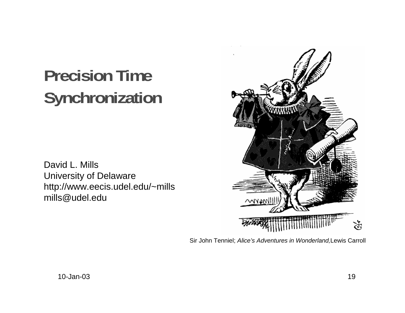# **Precision Time Synchronization**

David L. Mills University of Delaware http://www.eecis.udel.edu/~mills mills@udel.edu



Sir John Tenniel; Alice's Adventures in Wonderland,Lewis Carroll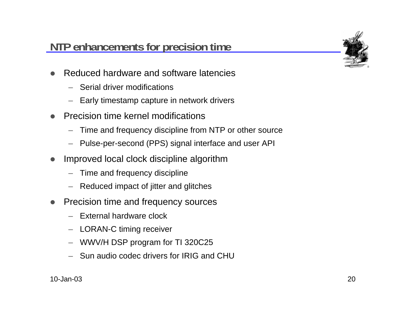## **NTP enhancements for precision time**



- $\bullet$  Reduced hardware and software latencies
	- Serial driver modifications
	- Early timestamp capture in network drivers
- $\bullet$  Precision time kernel modifications
	- –Time and frequency discipline from NTP or other source
	- –Pulse-per-second (PPS) signal interface and user API
- $\bullet$  Improved local clock discipline algorithm
	- Time and frequency discipline
	- Reduced impact of jitter and glitches
- $\bullet$  Precision time and frequency sources
	- External hardware clock
	- LORAN-C timing receiver
	- WWV/H DSP program for TI 320C25
	- Sun audio codec drivers for IRIG and CHU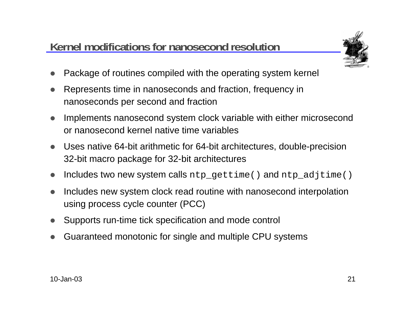## **Kernel modifications for nanosecond resolution**



- $\bullet$ Package of routines compiled with the operating system kernel
- $\bullet$  Represents time in nanoseconds and fraction, frequency in nanoseconds per second and fraction
- $\bullet$  Implements nanosecond system clock variable with either microsecond or nanosecond kernel native time variables
- $\bullet$  Uses native 64-bit arithmetic for 64-bit architectures, double-precision 32-bit macro package for 32-bit architectures
- $\bullet$ Includes two new system calls ntp\_gettime() and ntp\_adjtime()
- $\bullet$  Includes new system clock read routine with nanosecond interpolation using process cycle counter (PCC)
- $\bullet$ Supports run-time tick specification and mode control
- $\bullet$ Guaranteed monotonic for single and multiple CPU systems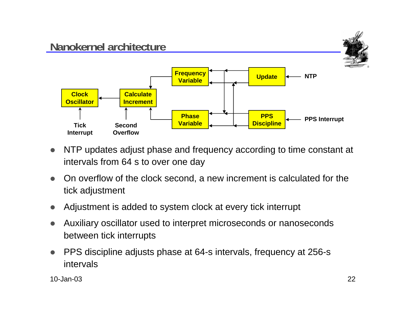

- $\bullet$  NTP updates adjust phase and frequency according to time constant at intervals from 64 s to over one day
- $\bullet$  On overflow of the clock second, a new increment is calculated for the tick adjustment
- $\bullet$ Adjustment is added to system clock at every tick interrupt
- $\bullet$  Auxiliary oscillator used to interpret microseconds or nanoseconds between tick interrupts
- $\bullet$  PPS discipline adjusts phase at 64-s intervals, frequency at 256-s intervals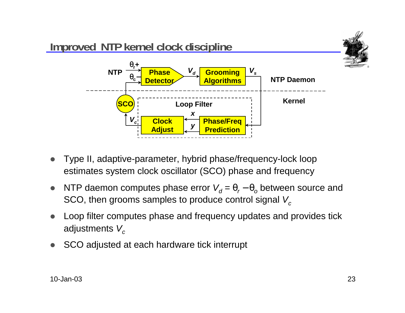

- $\bullet$  Type II, adaptive-parameter, hybrid phase/frequency-lock loop estimates system clock oscillator (SCO) phase and frequency
- $\bullet$ • NTP daemon computes phase error  $V_d = θ_r - θ_o$  between source and SCO, then grooms samples to produce control signal  $V_c$
- $\bullet$  Loop filter computes phase and frequency updates and provides tick adjustments  $V_c$
- $\bullet$ SCO adjusted at each hardware tick interrupt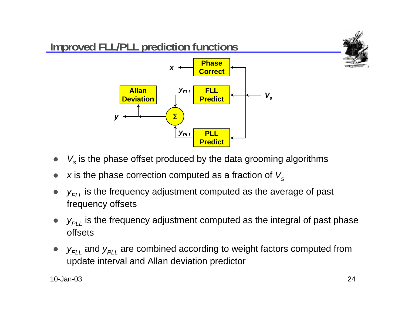

- $\bullet$  $\bullet\quad$   $V_{s}$  is the phase offset produced by the data grooming algorithms
- $\bullet$ x is the phase correction computed as a fraction of  $V_s$
- $\bullet$  $\bullet\quad$   $y_{\mathsf{{\scriptstyle F}\!L}\mathsf{L}}$  is the frequency adjustment computed as the average of past frequency offsets
- $\bullet$  $\bullet\quad$   $y_{\rho_{LL}}$  is the frequency adjustment computed as the integral of past phase offsets
- $\bullet$ •  $y_{FLL}$  and  $y_{PLL}$  are combined according to weight factors computed from update interval and Allan deviation predictor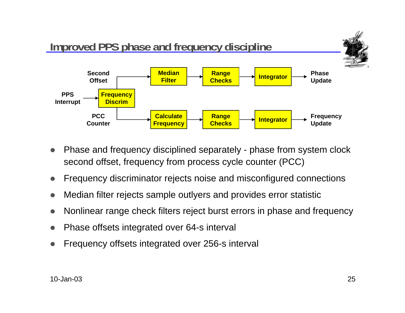

- $\bullet$  Phase and frequency disciplined separately - phase from system clock second offset, frequency from process cycle counter (PCC)
- $\bullet$ Frequency discriminator rejects noise and misconfigured connections
- $\bullet$ Median filter rejects sample outlyers and provides error statistic
- $\bullet$ Nonlinear range check filters reject burst errors in phase and frequency
- $\bullet$ Phase offsets integrated over 64-s interval
- $\bullet$ Frequency offsets integrated over 256-s interval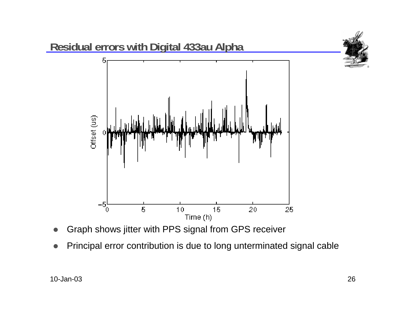

- $\bullet$ Graph shows jitter with PPS signal from GPS receiver
- $\bullet$ Principal error contribution is due to long unterminated signal cable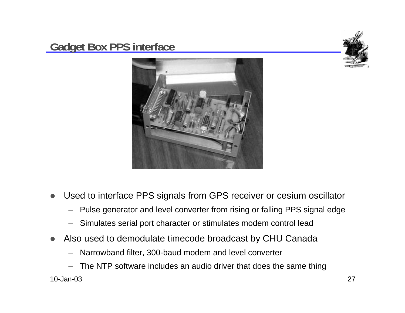#### **Gadget Box PPS interface**





- $\bullet$  Used to interface PPS signals from GPS receiver or cesium oscillator
	- –Pulse generator and level converter from rising or falling PPS signal edge
	- Simulates serial port character or stimulates modem control lead
- $\bullet$  Also used to demodulate timecode broadcast by CHU Canada
	- Narrowband filter, 300-baud modem and level converter
- 10-Jan-03 $3$  and  $27$ The NTP software includes an audio driver that does the same thing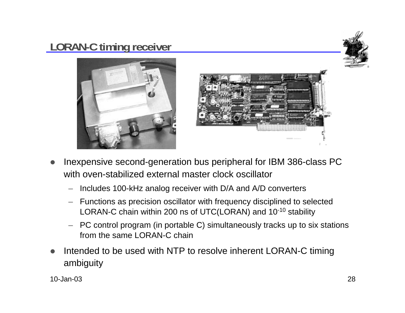## **LORAN-C timing receiver**







- $\bullet$  Inexpensive second-generation bus peripheral for IBM 386-class PC with oven-stabilized external master clock oscillator
	- Includes 100-kHz analog receiver with D/A and A/D converters
	- Functions as precision oscillator with frequency disciplined to selected LORAN-C chain within 200 ns of UTC(LORAN) and 10-10 stability
	- PC control program (in portable C) simultaneously tracks up to six stations from the same LORAN-C chain
- $\bullet$  Intended to be used with NTP to resolve inherent LORAN-C timing ambiguity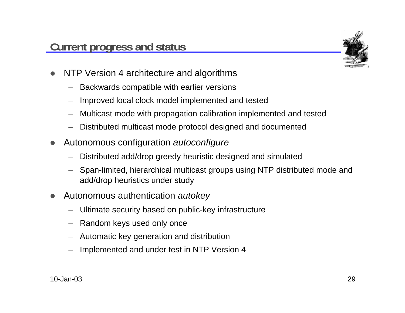

- $\bullet$  NTP Version 4 architecture and algorithms
	- Backwards compatible with earlier versions
	- Improved local clock model implemented and tested
	- Multicast mode with propagation calibration implemented and tested
	- Distributed multicast mode protocol designed and documented
- $\bullet$  Autonomous configuration autoconfigure
	- Distributed add/drop greedy heuristic designed and simulated
	- Span-limited, hierarchical multicast groups using NTP distributed mode and add/drop heuristics under study
- $\bullet$  Autonomous authentication autokey
	- Ultimate security based on public-key infrastructure
	- Random keys used only once
	- Automatic key generation and distribution
	- Implemented and under test in NTP Version 4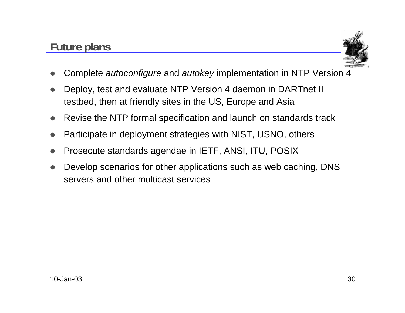## **Future plans**



- $\bullet$ Complete autoconfigure and autokey implementation in NTP Version 4
- $\bullet$  Deploy, test and evaluate NTP Version 4 daemon in DARTnet II testbed, then at friendly sites in the US, Europe and Asia
- $\bullet$ Revise the NTP formal specification and launch on standards track
- $\bullet$ Participate in deployment strategies with NIST, USNO, others
- $\bullet$ Prosecute standards agendae in IETF, ANSI, ITU, POSIX
- $\bullet$  Develop scenarios for other applications such as web caching, DNS servers and other multicast services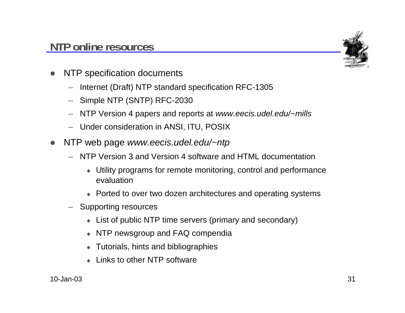#### **NTP online resources**



- $\bullet$  NTP specification documents
	- Internet (Draft) NTP standard specification RFC-1305
	- Simple NTP (SNTP) RFC-2030
	- NTP Version 4 papers and reports at www.eecis.udel.edu/~mills
	- Under consideration in ANSI, ITU, POSIX
- $\bullet$ NTP web page www.eecis.udel.edu/~ntp
	- NTP Version 3 and Version 4 software and HTML documentation
		- Utility programs for remote monitoring, control and performance evaluation
		- Ported to over two dozen architectures and operating systems
	- Supporting resources
		- List of public NTP time servers (primary and secondary)
		- NTP newsgroup and FAQ compendia
		- Tutorials, hints and bibliographies
		- Links to other NTP software